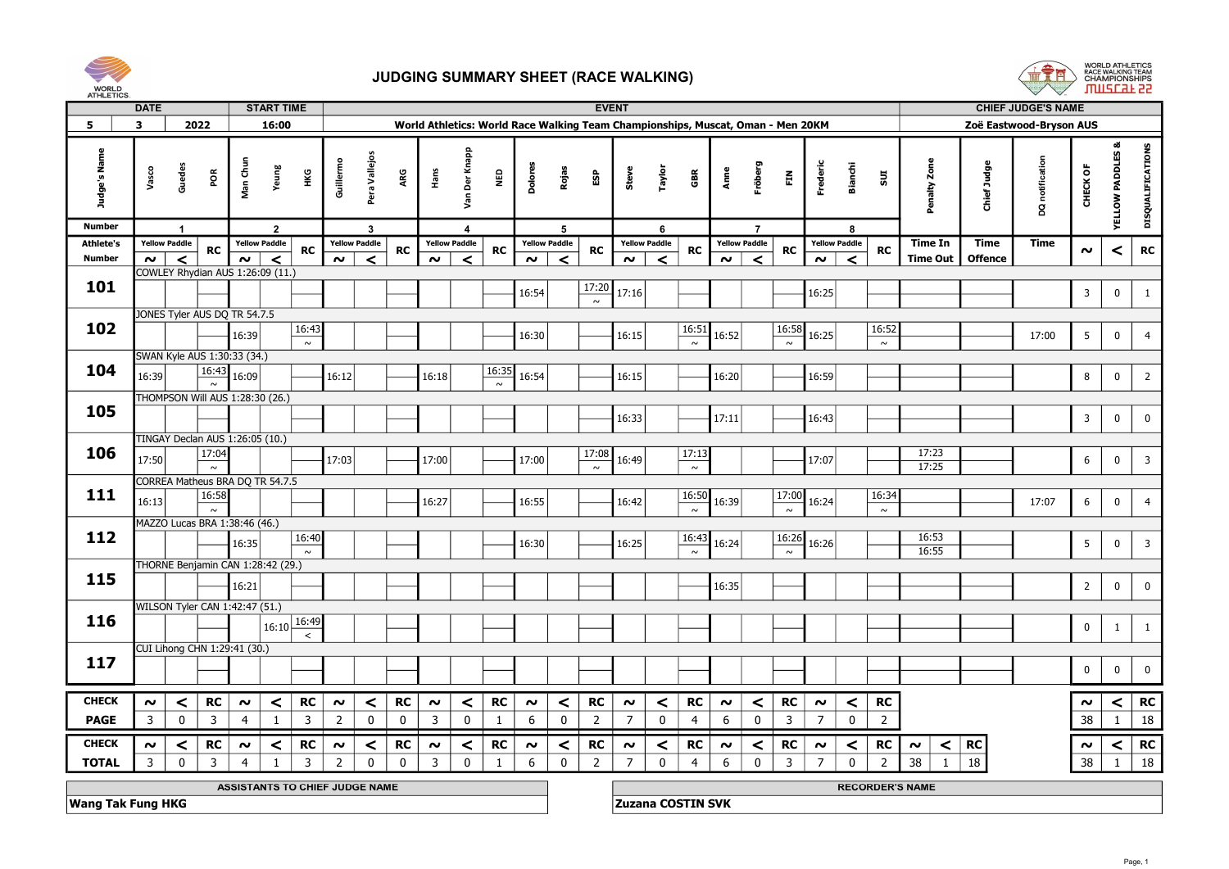



| <b>AILLEINS</b>          | <b>DATE</b>  |                      |                                             |                                | <b>START TIME</b> |                                |                |                      |             |                         |                  |              |                                                                                 |                 |                | <b>EVENT</b>   |                      |                          |                |                      |                          |                |                      |                |                        |                |                | <b>CHIEF JUDGE'S NAME</b> |                         |                             |                         |  |
|--------------------------|--------------|----------------------|---------------------------------------------|--------------------------------|-------------------|--------------------------------|----------------|----------------------|-------------|-------------------------|------------------|--------------|---------------------------------------------------------------------------------|-----------------|----------------|----------------|----------------------|--------------------------|----------------|----------------------|--------------------------|----------------|----------------------|----------------|------------------------|----------------|----------------|---------------------------|-------------------------|-----------------------------|-------------------------|--|
| 5                        | $\mathbf{3}$ |                      | 2022                                        |                                | 16:00             |                                |                |                      |             |                         |                  |              | World Athletics: World Race Walking Team Championships, Muscat, Oman - Men 20KM |                 |                |                |                      |                          |                |                      |                          |                |                      |                |                        |                |                | Zoë Eastwood-Bryson AUS   |                         |                             |                         |  |
| Judge's Name             | Vasco        |                      | Guedes<br>POR                               | Man Chun                       | Yeung             | Нĸ                             | Guillermo      | Pera Vallejos        | ARG         | Hans                    | Der Knapp<br>Sev | NED          | Dolores                                                                         | Rojas           | န္မာ           | Steve          | Taylor               | GBR                      | Anne           | iröberg              | $\tilde{E}$              | Frederic       | <b>Bianchi</b>       | 501            |                        | Penalty Zone   | Chief Judge    | DQ notification           | CHECK OF                | <b>YELLOW PADDLES &amp;</b> | DISQUALIFICATIONS       |  |
| <b>Number</b>            |              | $\overline{1}$       |                                             |                                | $\overline{2}$    |                                |                | $\mathbf{3}$         |             |                         | $\overline{4}$   |              |                                                                                 | $5\overline{5}$ |                |                | 6                    |                          |                | $\overline{7}$       |                          |                | 8                    |                |                        |                |                |                           |                         |                             |                         |  |
| <b>Athlete's</b>         |              | <b>Yellow Paddle</b> | RC                                          | <b>Yellow Paddle</b>           |                   | <b>RC</b>                      |                | <b>Yellow Paddle</b> | <b>RC</b>   | <b>Yellow Paddle</b>    |                  | <b>RC</b>    | <b>Yellow Paddle</b>                                                            |                 | <b>RC</b>      |                | <b>Yellow Paddle</b> | RC                       |                | <b>Yellow Paddle</b> | <b>RC</b>                |                | <b>Yellow Paddle</b> | <b>RC</b>      |                        | <b>Time In</b> | <b>Time</b>    | <b>Time</b>               | $\sim$                  | $\prec$                     | <b>RC</b>               |  |
| <b>Number</b>            |              | $\sim$               | $\prec$<br>COWLEY Rhydian AUS 1:26:09 (11.) | $\sim$                         | $\prec$           |                                | $\sim$         | $\prec$              |             | $\sim$                  | $\prec$          |              | $\sim$                                                                          | $\epsilon$      |                | $\sim$         | $\prec$              |                          | $\sim$         | $\prec$              |                          | $\sim$         | $\prec$              |                |                        | Time Out       | <b>Offence</b> |                           |                         |                             |                         |  |
| 101                      |              |                      |                                             |                                |                   |                                |                |                      |             |                         |                  |              |                                                                                 |                 | 17:20          |                |                      |                          |                |                      |                          |                |                      |                |                        |                |                |                           |                         |                             |                         |  |
|                          |              |                      |                                             |                                |                   |                                |                |                      |             |                         |                  |              | 16:54                                                                           |                 | $\sim$         | 17:16          |                      |                          |                |                      |                          | 16:25          |                      |                |                        |                |                |                           | $\overline{3}$          | $\mathbf 0$                 |                         |  |
|                          |              |                      | JONES Tyler AUS DQ TR 54.7.5                |                                |                   |                                |                |                      |             |                         |                  |              |                                                                                 |                 |                |                |                      |                          |                |                      |                          |                |                      |                |                        |                |                |                           |                         |                             |                         |  |
| 102                      |              |                      |                                             | 16:39                          |                   | 16:43                          |                |                      |             |                         |                  |              | 16:30                                                                           |                 |                | 16:15          |                      | 16:51                    | 16:52          |                      | 16:58                    | 16:25          |                      | 16:52          |                        |                |                | 17:00                     | $5\phantom{.0}$         | $\mathbf 0$                 | $\overline{4}$          |  |
|                          |              |                      |                                             |                                |                   | $\sim$                         |                |                      |             |                         |                  |              |                                                                                 |                 |                |                |                      | $\sim$                   |                |                      | $\sim$                   |                |                      | $\sim$         |                        |                |                |                           |                         |                             |                         |  |
| 104                      |              |                      | SWAN Kyle AUS 1:30:33 (34.)<br>16:43        |                                |                   |                                |                |                      |             |                         |                  | 16:35        |                                                                                 |                 |                |                |                      |                          |                |                      |                          |                |                      |                |                        |                |                |                           |                         |                             |                         |  |
|                          | 16:39        |                      | $\sim$                                      | 16:09                          |                   |                                | 16:12          |                      |             | 16:18                   |                  | $\sim$       | 16:54                                                                           |                 |                | 16:15          |                      |                          | 16:20          |                      |                          | 16:59          |                      |                |                        |                |                |                           | 8                       | $\overline{\mathbf{0}}$     | $\overline{2}$          |  |
|                          |              |                      | THOMPSON Will AUS 1:28:30 (26.)             |                                |                   |                                |                |                      |             |                         |                  |              |                                                                                 |                 |                |                |                      |                          |                |                      |                          |                |                      |                |                        |                |                |                           |                         |                             |                         |  |
| 105                      |              |                      |                                             |                                |                   |                                |                |                      |             |                         |                  |              |                                                                                 |                 |                | 16:33          |                      |                          | 17:11          |                      |                          | 16:43          |                      |                |                        |                |                |                           | $\overline{\mathbf{3}}$ | $\mathbf 0$                 | $\mathbf 0$             |  |
|                          |              |                      | TINGAY Declan AUS 1:26:05 (10.)             |                                |                   |                                |                |                      |             |                         |                  |              |                                                                                 |                 |                |                |                      |                          |                |                      |                          |                |                      |                |                        |                |                |                           |                         |                             |                         |  |
| 106                      |              |                      | 17:04                                       |                                |                   |                                |                |                      |             |                         |                  |              |                                                                                 |                 | 17:08          |                |                      | 17:13                    |                |                      |                          |                |                      |                |                        | 17:23          |                |                           |                         |                             |                         |  |
|                          | 17:50        |                      | $\sim$                                      |                                |                   |                                | 17:03          |                      |             | 17:00                   |                  |              | 17:00                                                                           |                 | $\sim$         | 16:49          |                      | $\sim$                   |                |                      |                          | 17:07          |                      |                |                        | 17:25          |                |                           | $6\phantom{.}6$         | $\mathbf 0$                 | $\overline{\mathbf{3}}$ |  |
|                          |              |                      | CORREA Matheus BRA DQ TR 54.7.5             |                                |                   |                                |                |                      |             |                         |                  |              |                                                                                 |                 |                |                |                      |                          |                |                      |                          |                |                      |                |                        |                |                |                           |                         |                             |                         |  |
| 111                      | 16:13        |                      | 16:58                                       |                                |                   |                                |                |                      |             | 16:27                   |                  |              | 16:55                                                                           |                 |                | 16:42          |                      | 16:50                    | 16:39          |                      | 17:00                    | 16:24          |                      | 16:34          |                        |                |                | 17:07                     | 6                       | $\mathbf 0$                 | $\overline{4}$          |  |
|                          |              |                      | $\sim$                                      |                                |                   |                                |                |                      |             |                         |                  |              |                                                                                 |                 |                |                |                      | $\sim$                   |                |                      | $\sim$                   |                |                      | $\sim$         |                        |                |                |                           |                         |                             |                         |  |
| 112                      |              |                      | MAZZO Lucas BRA 1:38:46 (46.)               |                                |                   | 16:40                          |                |                      |             |                         |                  |              |                                                                                 |                 |                |                |                      |                          |                |                      | 16:26                    |                |                      |                |                        | 16:53          |                |                           |                         |                             |                         |  |
|                          |              |                      |                                             | 16:35                          |                   | $\sim$                         |                |                      |             |                         |                  |              | 16:30                                                                           |                 |                | 16:25          |                      | 16:43<br>$\sim$          | 16:24          |                      | $\overline{\phantom{0}}$ | 16:26          |                      |                |                        | 16:55          |                |                           | $5\phantom{.0}$         | $\mathbf 0$                 | $\overline{3}$          |  |
|                          |              |                      | THORNE Benjamin CAN 1:28:42 (29.)           |                                |                   |                                |                |                      |             |                         |                  |              |                                                                                 |                 |                |                |                      |                          |                |                      |                          |                |                      |                |                        |                |                |                           |                         |                             |                         |  |
| 115                      |              |                      |                                             | 16:21                          |                   |                                |                |                      |             |                         |                  |              |                                                                                 |                 |                |                |                      |                          | 16:35          |                      |                          |                |                      |                |                        |                |                |                           | $\overline{2}$          | $\mathbf 0$                 | $\mathbf 0$             |  |
|                          |              |                      |                                             |                                |                   |                                |                |                      |             |                         |                  |              |                                                                                 |                 |                |                |                      |                          |                |                      |                          |                |                      |                |                        |                |                |                           |                         |                             |                         |  |
| 116                      |              |                      | WILSON Tyler CAN 1:42:47 (51.)              |                                |                   |                                |                |                      |             |                         |                  |              |                                                                                 |                 |                |                |                      |                          |                |                      |                          |                |                      |                |                        |                |                |                           |                         |                             |                         |  |
|                          |              |                      |                                             |                                |                   | $16:10\sqrt{16:49}$<br>$\prec$ |                |                      |             |                         |                  |              |                                                                                 |                 |                |                |                      |                          |                |                      |                          |                |                      |                |                        |                |                |                           | $\pmb{0}$               | $\overline{1}$              | $\overline{1}$          |  |
|                          |              |                      | CUI Lihong CHN 1:29:41 (30.)                |                                |                   |                                |                |                      |             |                         |                  |              |                                                                                 |                 |                |                |                      |                          |                |                      |                          |                |                      |                |                        |                |                |                           |                         |                             |                         |  |
| 117                      |              |                      |                                             |                                |                   |                                |                |                      |             |                         |                  |              |                                                                                 |                 |                |                |                      |                          |                |                      |                          |                |                      |                |                        |                |                |                           | $\mathbf 0$             | $\mathbf 0$                 | $\mathbf 0$             |  |
|                          |              |                      |                                             |                                |                   |                                |                |                      |             |                         |                  |              |                                                                                 |                 |                |                |                      |                          |                |                      |                          |                |                      |                |                        |                |                |                           |                         |                             |                         |  |
| <b>CHECK</b>             | $\sim$       |                      | RC<br>$\prec$                               | $\sim$                         | $\prec$           | RC                             | $\sim$         | $\prec$              | RC          | $\sim$                  | $\prec$          | RC           | $\sim$                                                                          | $\prec$         | RC             | $\sim$         | $\prec$              | RC                       | $\sim$         | $\prec$              | <b>RC</b>                | $\sim$         | $\prec$              | RC             |                        |                |                |                           | $\sim$                  | $\prec$                     | RC                      |  |
| <b>PAGE</b>              | 3            |                      | $\mathbf 0$<br>$\overline{3}$               | $\overline{4}$                 | $\mathbf{1}$      | 3                              | $\overline{2}$ | $\mathbf{0}$         | $\mathbf 0$ | $\overline{3}$          | $\mathbf 0$      | 1            | 6                                                                               | $\mathbf 0$     | $\overline{2}$ | $\overline{7}$ | $\mathbf 0$          | 4                        | 6              | $\mathbf{0}$         | $\overline{3}$           | $\overline{7}$ | $\mathbf 0$          | $\overline{2}$ |                        |                |                |                           | 38                      | 1                           | 18                      |  |
|                          |              |                      |                                             |                                |                   |                                |                |                      |             |                         |                  |              |                                                                                 |                 |                |                |                      |                          |                |                      |                          |                |                      |                |                        |                |                |                           |                         |                             |                         |  |
| <b>CHECK</b>             | $\sim$       |                      | RC<br>$\prec$                               | $\sim$                         | $\prec$           | <b>RC</b>                      | $\sim$         | $\prec$              | <b>RC</b>   | $\sim$                  | $\prec$          | RC           | $\sim$                                                                          | $\prec$         | RC             | $\sim$         | $\prec$              | RC                       | $\sim$         | $\prec$              | RC                       | $\sim$         | $\prec$              | RC             | $\sim$                 | $\prec$        | $\vert$ RC     |                           | $\boldsymbol{\sim}$     | $\prec$                     | RC                      |  |
| <b>TOTAL</b>             | 3            |                      | $\mathbf 0$<br>$\overline{3}$               | $\overline{4}$                 |                   | 3                              | $\overline{2}$ | $\Omega$             | $\mathbf 0$ | $\overline{\mathbf{3}}$ | $\mathbf 0$      | $\mathbf{1}$ | $\boldsymbol{6}$                                                                | $\mathbf 0$     | $\overline{2}$ | $\overline{7}$ | $\mathbf 0$          | $\overline{4}$           | $6\phantom{1}$ | $\mathbf 0$          | $\mathbf{3}$             | $\overline{7}$ | $\mathbf 0$          | $\overline{2}$ | 38                     | $\overline{1}$ | 18             |                           | 38                      | $\mathbf{1}$                | 18                      |  |
|                          |              |                      |                                             | ASSISTANTS TO CHIEF JUDGE NAME |                   |                                |                |                      |             |                         |                  |              |                                                                                 |                 |                |                |                      |                          |                |                      |                          |                |                      |                | <b>RECORDER'S NAME</b> |                |                |                           |                         |                             |                         |  |
| <b>Wang Tak Fung HKG</b> |              |                      |                                             |                                |                   |                                |                |                      |             |                         |                  |              |                                                                                 |                 |                |                |                      | <b>Zuzana COSTIN SVK</b> |                |                      |                          |                |                      |                |                        |                |                |                           |                         |                             |                         |  |
|                          |              |                      |                                             |                                |                   |                                |                |                      |             |                         |                  |              |                                                                                 |                 |                |                |                      |                          |                |                      |                          |                |                      |                |                        |                |                |                           |                         |                             |                         |  |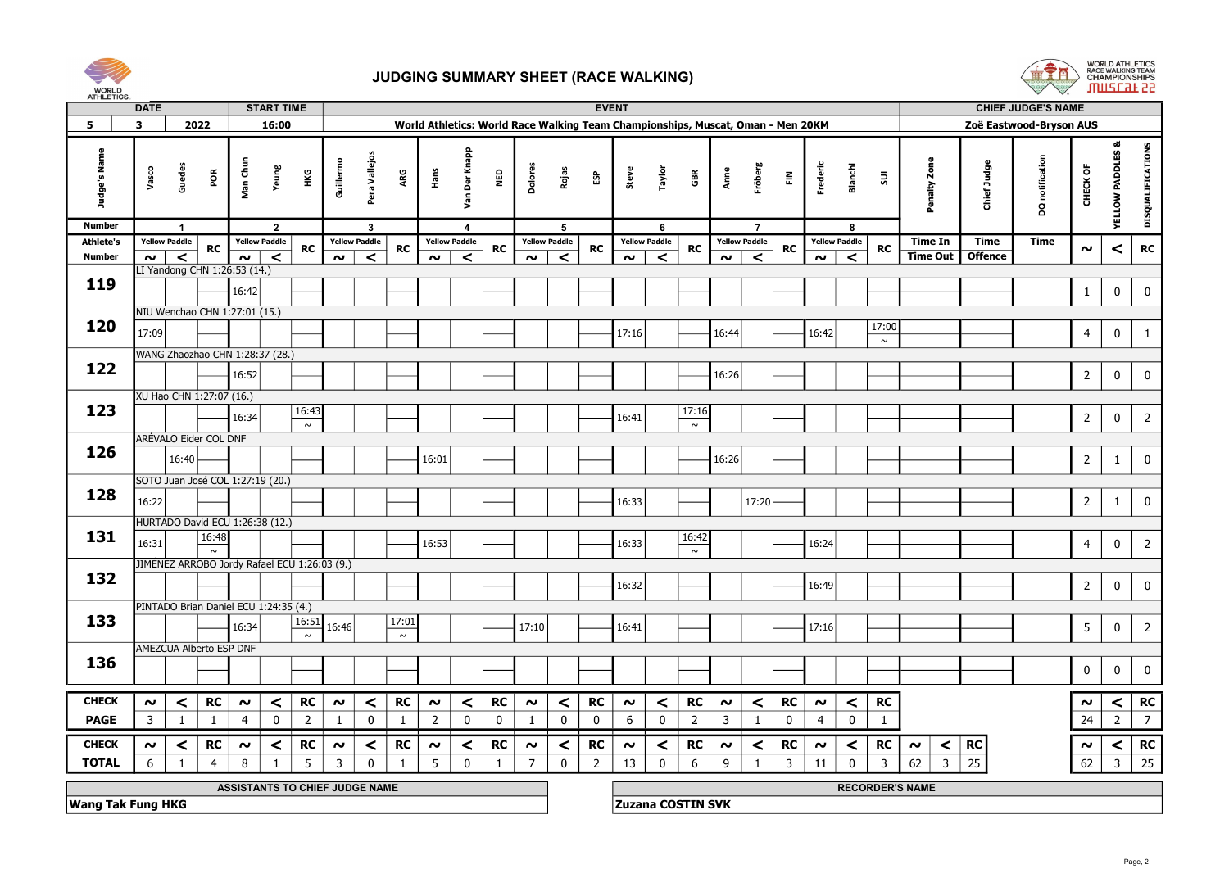



| AI HLE IIUS.                      | <b>DATE</b>    |                                 |                          |                                              | <b>START TIME</b> |                 |                |                                 |                 |        |                                 |             |                |                                 |                | <b>EVENT</b>                                                                    |                                 |                 |                |                                 |                |                |                                 |                        |                               |                               | <b>CHIEF JUDGE'S NAME</b> |                     |                             |                   |
|-----------------------------------|----------------|---------------------------------|--------------------------|----------------------------------------------|-------------------|-----------------|----------------|---------------------------------|-----------------|--------|---------------------------------|-------------|----------------|---------------------------------|----------------|---------------------------------------------------------------------------------|---------------------------------|-----------------|----------------|---------------------------------|----------------|----------------|---------------------------------|------------------------|-------------------------------|-------------------------------|---------------------------|---------------------|-----------------------------|-------------------|
| 5                                 | $\mathbf{3}$   |                                 | 2022                     |                                              | 16:00             |                 |                |                                 |                 |        |                                 |             |                |                                 |                | World Athletics: World Race Walking Team Championships, Muscat, Oman - Men 20KM |                                 |                 |                |                                 |                |                |                                 |                        |                               |                               | Zoë Eastwood-Bryson AUS   |                     |                             |                   |
| Judge's Name                      | Vasco          | Guedes                          | ΡÕ                       | Man Chur                                     | Yeung             | НKG             | Guillermo      | Pera Vallejos                   | ARG             | Hans   | Der Knapp<br>Sev                | e<br>N      | Dolores        | Rojas                           | និ             | Steve                                                                           | Taylor                          | GBR             | Anne           | Fröberg                         | 룬              | Frederic       | Bianchi                         | $\Xi$                  | Penalty Zone                  | Chief Judge                   | DQ notification           | CHECK OF            | <b>YELLOW PADDLES &amp;</b> | DISQUALIFICATIONS |
| <b>Number</b>                     |                | $\overline{\mathbf{1}}$         |                          |                                              | $\overline{2}$    |                 |                | $\mathbf{3}$                    |                 |        | $\overline{4}$                  |             |                | 5                               |                |                                                                                 | 6                               |                 |                | $\overline{7}$                  |                |                | -8                              |                        |                               |                               |                           |                     |                             |                   |
| <b>Athlete's</b><br><b>Number</b> |                | <b>Yellow Paddle</b><br>$\prec$ | RC                       | <b>Yellow Paddle</b><br>$\sim$               | $\epsilon$        | <b>RC</b>       | $\sim$         | <b>Yellow Paddle</b><br>$\prec$ | <b>RC</b>       | $\sim$ | <b>Yellow Paddle</b><br>$\prec$ | RC          | $\sim$         | <b>Yellow Paddle</b><br>$\prec$ | <b>RC</b>      | $\sim$                                                                          | <b>Yellow Paddle</b><br>$\prec$ | <b>RC</b>       | $\sim$         | <b>Yellow Paddle</b><br>$\prec$ | <b>RC</b>      | $\sim$         | <b>Yellow Paddle</b><br>$\prec$ | <b>RC</b>              | <b>Time In</b><br>Time Out    | <b>Time</b><br><b>Offence</b> | <b>Time</b>               | $\boldsymbol{\sim}$ | $\,<\,$                     | <b>RC</b>         |
|                                   | $\sim$         |                                 |                          | LI Yandong CHN 1:26:53 (14.)                 |                   |                 |                |                                 |                 |        |                                 |             |                |                                 |                |                                                                                 |                                 |                 |                |                                 |                |                |                                 |                        |                               |                               |                           |                     |                             |                   |
| 119                               |                |                                 |                          | 16:42                                        |                   |                 |                |                                 |                 |        |                                 |             |                |                                 |                |                                                                                 |                                 |                 |                |                                 |                |                |                                 |                        |                               |                               |                           | $\mathbf{1}$        | $\mathbf 0$                 | $\mathbf 0$       |
|                                   |                |                                 |                          | NIU Wenchao CHN 1:27:01 (15.)                |                   |                 |                |                                 |                 |        |                                 |             |                |                                 |                |                                                                                 |                                 |                 |                |                                 |                |                |                                 |                        |                               |                               |                           |                     |                             |                   |
| 120                               | 17:09          |                                 |                          |                                              |                   |                 |                |                                 |                 |        |                                 |             |                |                                 |                | 17:16                                                                           |                                 |                 | 16:44          |                                 |                | 16:42          |                                 | 17:00                  |                               |                               |                           | $\overline{4}$      | $\mathbf 0$                 | 1                 |
|                                   |                |                                 |                          | WANG Zhaozhao CHN 1:28:37 (28.)              |                   |                 |                |                                 |                 |        |                                 |             |                |                                 |                |                                                                                 |                                 |                 |                |                                 |                |                |                                 | $\sim$                 |                               |                               |                           |                     |                             |                   |
| 122                               |                |                                 |                          | 16:52                                        |                   |                 |                |                                 |                 |        |                                 |             |                |                                 |                |                                                                                 |                                 |                 | 16:26          |                                 |                |                |                                 |                        |                               |                               |                           | $\overline{2}$      | $\mathbf 0$                 | $\mathbf 0$       |
|                                   |                |                                 | XU Hao CHN 1:27:07 (16.) |                                              |                   |                 |                |                                 |                 |        |                                 |             |                |                                 |                |                                                                                 |                                 |                 |                |                                 |                |                |                                 |                        |                               |                               |                           |                     |                             |                   |
| 123                               |                |                                 |                          | 16:34                                        |                   | 16:43<br>$\sim$ |                |                                 |                 |        |                                 |             |                |                                 |                | 16:41                                                                           |                                 | 17:16<br>$\sim$ |                |                                 |                |                |                                 |                        |                               |                               |                           | $\overline{2}$      | $\mathbf 0$                 | $\overline{2}$    |
|                                   |                |                                 | ARÉVALO Eider COL DNF    |                                              |                   |                 |                |                                 |                 |        |                                 |             |                |                                 |                |                                                                                 |                                 |                 |                |                                 |                |                |                                 |                        |                               |                               |                           |                     |                             |                   |
| 126                               |                | 16:40                           |                          |                                              |                   |                 |                |                                 |                 | 16:01  |                                 |             |                |                                 |                |                                                                                 |                                 |                 | 16:26          |                                 |                |                |                                 |                        |                               |                               |                           | $\overline{2}$      | $\mathbf{1}$                | $\mathbf 0$       |
|                                   |                |                                 |                          | SOTO Juan José COL 1:27:19 (20.)             |                   |                 |                |                                 |                 |        |                                 |             |                |                                 |                |                                                                                 |                                 |                 |                |                                 |                |                |                                 |                        |                               |                               |                           |                     |                             |                   |
| 128                               | 16:22          |                                 |                          |                                              |                   |                 |                |                                 |                 |        |                                 |             |                |                                 |                | 16:33                                                                           |                                 |                 |                | 17:20                           |                |                |                                 |                        |                               |                               |                           | $\overline{2}$      | 1                           | $\mathbf 0$       |
|                                   |                |                                 |                          | HURTADO David ECU 1:26:38 (12.)              |                   |                 |                |                                 |                 |        |                                 |             |                |                                 |                |                                                                                 |                                 |                 |                |                                 |                |                |                                 |                        |                               |                               |                           |                     |                             |                   |
| 131                               | 16:31          |                                 | 16:48                    |                                              |                   |                 |                |                                 |                 | 16:53  |                                 |             |                |                                 |                | 16:33                                                                           |                                 | 16:42<br>$\sim$ |                |                                 |                | 16:24          |                                 |                        |                               |                               |                           | $\overline{4}$      | $\mathbf 0$                 | $\overline{2}$    |
|                                   |                |                                 |                          | JIMÉNEZ ARROBO Jordy Rafael ECU 1:26:03 (9.) |                   |                 |                |                                 |                 |        |                                 |             |                |                                 |                |                                                                                 |                                 |                 |                |                                 |                |                |                                 |                        |                               |                               |                           |                     |                             |                   |
| 132                               |                |                                 |                          |                                              |                   |                 |                |                                 |                 |        |                                 |             |                |                                 |                | 16:32                                                                           |                                 |                 |                |                                 |                | 16:49          |                                 |                        |                               |                               |                           | $\overline{2}$      | $\mathbf 0$                 | $\mathbf 0$       |
|                                   |                |                                 |                          | PINTADO Brian Daniel ECU 1:24:35 (4.)        |                   |                 |                |                                 |                 |        |                                 |             |                |                                 |                |                                                                                 |                                 |                 |                |                                 |                |                |                                 |                        |                               |                               |                           |                     |                             |                   |
| 133                               |                |                                 |                          | 16:34                                        |                   | 16:51<br>$\sim$ | 16:46          |                                 | 17:01<br>$\sim$ |        |                                 |             | 17:10          |                                 |                | 16:41                                                                           |                                 |                 |                |                                 |                | 17:16          |                                 |                        |                               |                               |                           | 5                   | $\mathbf 0$                 | $\overline{2}$    |
|                                   |                |                                 | AMEZCUA Alberto ESP DNF  |                                              |                   |                 |                |                                 |                 |        |                                 |             |                |                                 |                |                                                                                 |                                 |                 |                |                                 |                |                |                                 |                        |                               |                               |                           |                     |                             |                   |
| 136                               |                |                                 |                          |                                              |                   |                 |                |                                 |                 |        |                                 |             |                |                                 |                |                                                                                 |                                 |                 |                |                                 |                |                |                                 |                        |                               |                               |                           | $\mathbf 0$         | $\mathbf 0$                 | $\mathbf 0$       |
| <b>CHECK</b>                      | $\sim$         | $\prec$                         | RC                       | $\sim$                                       | $\prec$           | RC              | $\sim$         | $\prec$                         | RC              | $\sim$ | $\prec$                         | RC          | $\sim$         | $\prec$                         | RC             | $\sim$                                                                          | $\prec$                         | <b>RC</b>       | $\sim$         | $\prec$                         | RC             | $\sim$         | $\prec$                         | RC                     |                               |                               |                           | $\boldsymbol{\sim}$ | $\prec$                     | <b>RC</b>         |
| <b>PAGE</b>                       | $\overline{3}$ | <sup>1</sup>                    | $\mathbf{1}$             | $\overline{4}$                               | $\mathbf{0}$      | $\overline{2}$  | -1             | $\mathbf 0$                     | 1               | 2      | $\mathbf 0$                     | $\mathbf 0$ | -1             | $\mathbf 0$                     | $\mathbf 0$    | 6                                                                               | $\mathbf 0$                     | $\overline{2}$  | $\overline{3}$ | 1                               | $\mathbf 0$    | $\overline{4}$ | $\mathbf 0$                     | 1                      |                               |                               |                           | 24                  | $\overline{2}$              | $\overline{7}$    |
| <b>CHECK</b>                      | $\sim$         | $\prec$                         | RC                       | $\sim$                                       | $\prec$           | <b>RC</b>       | $\sim$         | $\prec$                         | RC              | $\sim$ | $\prec$                         | RC          | $\sim$         | $\prec$                         | RC             | $\sim$                                                                          | $\prec$                         | RC              | $\sim$         | $\prec$                         | RC             | $\sim$         | $\prec$                         | <b>RC</b>              | $\sim$                        | $<$ RC                        |                           | $\sim$              | $\prec$                     | <b>RC</b>         |
| <b>TOTAL</b>                      | 6              | $\mathbf{1}$                    | $\overline{4}$           | 8                                            |                   | 5               | $\overline{3}$ | $\mathbf 0$                     | $\mathbf{1}$    | 5      | $\mathbf 0$                     | 1           | $\overline{7}$ | $\mathbf 0$                     | $\overline{2}$ | 13                                                                              | $\mathbf{0}$                    | 6               | 9              | 1                               | 3 <sup>7</sup> | 11             | $\mathbf 0$                     | $\overline{3}$         | 62<br>$\overline{\mathbf{3}}$ | 25                            |                           | 62                  | $\overline{3}$              | 25                |
|                                   |                |                                 |                          | ASSISTANTS TO CHIEF JUDGE NAME               |                   |                 |                |                                 |                 |        |                                 |             |                |                                 |                |                                                                                 |                                 |                 |                |                                 |                |                |                                 | <b>RECORDER'S NAME</b> |                               |                               |                           |                     |                             |                   |
| <b>Wang Tak Fung HKG</b>          |                |                                 |                          |                                              |                   |                 |                |                                 |                 |        |                                 |             |                |                                 |                | <b>Zuzana COSTIN SVK</b>                                                        |                                 |                 |                |                                 |                |                |                                 |                        |                               |                               |                           |                     |                             |                   |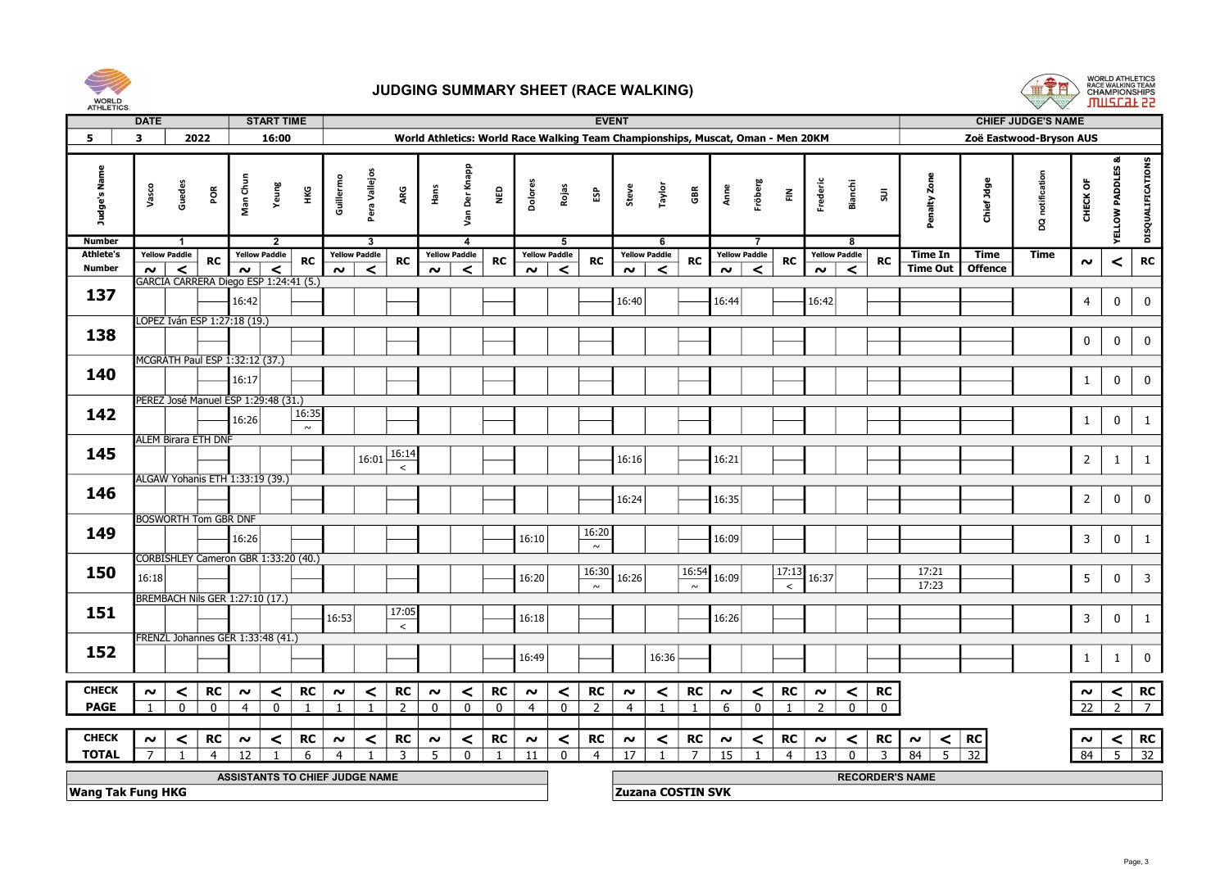



|                          | <b>DATE</b>    |                      |                             |                                        | <b>START TIME</b>                                |                         |                      |                  |          |                      |              |                                                                                 |                      |                 | <b>EVENT</b>             |                      |                 |                 |                      |                |                |                      |                |                |                        |                     | <b>CHIEF JUDGE'S NAME</b> |                     |                  |                         |  |
|--------------------------|----------------|----------------------|-----------------------------|----------------------------------------|--------------------------------------------------|-------------------------|----------------------|------------------|----------|----------------------|--------------|---------------------------------------------------------------------------------|----------------------|-----------------|--------------------------|----------------------|-----------------|-----------------|----------------------|----------------|----------------|----------------------|----------------|----------------|------------------------|---------------------|---------------------------|---------------------|------------------|-------------------------|--|
| 5                        | 3              |                      | 2022                        |                                        | 16:00                                            |                         |                      |                  |          |                      |              | World Athletics: World Race Walking Team Championships, Muscat, Oman - Men 20KM |                      |                 |                          |                      |                 |                 |                      |                |                |                      |                |                |                        |                     | Zoë Eastwood-Bryson AUS   |                     |                  |                         |  |
| Judge's Name             | Vasco          | Guedes               | řΩ                          | Man Chun                               | Yeung<br>НÆ                                      | Guillermo               | Pera Vallejos        | ARG              | Hans     | Der Knapp<br>yan     | <b>Q3M</b>   | Dolores                                                                         | Rojas                | និ              | Steve                    | Taylor               | GBR             | Anne            | Fröberg              | $\tilde{\Xi}$  |                | Frederi              | <b>Bianchi</b> | $\Xi$          | Penalty Zone           | <b>BPC</b><br>Chief | notification<br>g         | CHECK OF            | YELLOW PADDLES   | DISQUALIFICATIONS       |  |
| <b>Number</b>            |                | $\overline{1}$       |                             |                                        | $\overline{2}$                                   |                         | 3                    |                  |          | $\overline{a}$       |              |                                                                                 | -5                   |                 |                          | 6                    |                 |                 | 7                    |                |                |                      | -8             |                |                        |                     |                           |                     |                  |                         |  |
| <b>Athlete's</b>         |                | <b>Yellow Paddle</b> | <b>RC</b>                   | <b>Yellow Paddle</b>                   | <b>RC</b>                                        |                         | <b>Yellow Paddle</b> | <b>RC</b>        |          | <b>Yellow Paddle</b> | <b>RC</b>    |                                                                                 | <b>Yellow Paddle</b> | <b>RC</b>       |                          | <b>Yellow Paddle</b> | ${\sf RC}$      |                 | <b>Yellow Paddle</b> | ${\sf RC}$     |                | <b>Yellow Paddle</b> |                | <b>RC</b>      | Time In                | Time                | Time                      | $\boldsymbol{\sim}$ | $\prec$          | RC                      |  |
| <b>Number</b>            | $\sim$         | $\prec$              |                             | $\sim$                                 | $\prec$<br>GARCIA CARRERA Diego ESP 1:24:41 (5.) | $\sim$                  | $\prec$              |                  | $\sim$   | $\prec$              |              | $\sim$                                                                          | ≺                    |                 | $\boldsymbol{\sim}$      | $\prec$              |                 | $\sim$          | $\prec$              |                |                | $\sim$               | $\prec$        |                | <b>Time Out</b>        | <b>Offence</b>      |                           |                     |                  |                         |  |
| 137                      |                |                      |                             |                                        |                                                  |                         |                      |                  |          |                      |              |                                                                                 |                      |                 |                          |                      |                 |                 |                      |                |                |                      |                |                |                        |                     |                           |                     |                  |                         |  |
|                          |                |                      |                             | 16:42                                  |                                                  |                         |                      |                  |          |                      |              |                                                                                 |                      |                 | 16:40                    |                      |                 | 16:44           |                      |                |                | 16:42                |                |                |                        |                     |                           | $\overline{4}$      | $\boldsymbol{0}$ | $\mathbf 0$             |  |
|                          |                |                      |                             | LOPEZ Iván ESP 1:27:18 (19.)           |                                                  |                         |                      |                  |          |                      |              |                                                                                 |                      |                 |                          |                      |                 |                 |                      |                |                |                      |                |                |                        |                     |                           |                     |                  |                         |  |
| 138                      |                |                      |                             |                                        |                                                  |                         |                      |                  |          |                      |              |                                                                                 |                      |                 |                          |                      |                 |                 |                      |                |                |                      |                |                |                        |                     |                           | $\pmb{0}$           | $\mathbf 0$      | $\mathbf 0$             |  |
|                          |                |                      |                             | MCGRATH Paul ESP 1:32:12 (37.)         |                                                  |                         |                      |                  |          |                      |              |                                                                                 |                      |                 |                          |                      |                 |                 |                      |                |                |                      |                |                |                        |                     |                           |                     |                  |                         |  |
| 140                      |                |                      |                             | 16:17                                  |                                                  |                         |                      |                  |          |                      |              |                                                                                 |                      |                 |                          |                      |                 |                 |                      |                |                |                      |                |                |                        |                     |                           | $\mathbf{1}$        | $\mathbf 0$      | $\mathbf 0$             |  |
|                          |                |                      |                             | PEREZ José Manuel ESP 1:29:48 (31.)    |                                                  |                         |                      |                  |          |                      |              |                                                                                 |                      |                 |                          |                      |                 |                 |                      |                |                |                      |                |                |                        |                     |                           |                     |                  |                         |  |
| 142                      |                |                      |                             | 16:26                                  | 16:35<br>$\sim$                                  |                         |                      |                  |          |                      |              |                                                                                 |                      |                 |                          |                      |                 |                 |                      |                |                |                      |                |                |                        |                     |                           | $\mathbf{1}$        | $\mathbf 0$      | $\mathbf{1}$            |  |
|                          |                |                      | <b>ALEM Birara ETH DNF</b>  |                                        |                                                  |                         |                      |                  |          |                      |              |                                                                                 |                      |                 |                          |                      |                 |                 |                      |                |                |                      |                |                |                        |                     |                           |                     |                  |                         |  |
| 145                      |                |                      |                             |                                        |                                                  |                         | 16:01                | 16:14            |          |                      |              |                                                                                 |                      |                 | 16:16                    |                      |                 | 16:21           |                      |                |                |                      |                |                |                        |                     |                           | $\overline{2}$      | $\mathbf{1}$     | $\mathbf{1}$            |  |
|                          |                |                      |                             |                                        |                                                  |                         |                      | $\,<\,$          |          |                      |              |                                                                                 |                      |                 |                          |                      |                 |                 |                      |                |                |                      |                |                |                        |                     |                           |                     |                  |                         |  |
| 146                      |                |                      |                             | ALGAW Yohanis ETH 1:33:19 (39.)        |                                                  |                         |                      |                  |          |                      |              |                                                                                 |                      |                 | 16:24                    |                      |                 | 16:35           |                      |                |                |                      |                |                |                        |                     |                           | $\overline{2}$      | $\boldsymbol{0}$ | $\mathbf 0$             |  |
|                          |                |                      | <b>BOSWORTH Tom GBR DNF</b> |                                        |                                                  |                         |                      |                  |          |                      |              |                                                                                 |                      |                 |                          |                      |                 |                 |                      |                |                |                      |                |                |                        |                     |                           |                     |                  |                         |  |
| 149                      |                |                      |                             |                                        |                                                  |                         |                      |                  |          |                      |              |                                                                                 |                      | 16:20           |                          |                      |                 |                 |                      |                |                |                      |                |                |                        |                     |                           |                     |                  |                         |  |
|                          |                |                      |                             | 16:26                                  |                                                  |                         |                      |                  |          |                      |              | 16:10                                                                           |                      | $\sim$          |                          |                      |                 | 16:09           |                      |                |                |                      |                |                |                        |                     |                           | $\mathbf{3}$        | $\mathbf 0$      | $\mathbf{1}$            |  |
|                          |                |                      |                             |                                        | CORBISHLEY Cameron GBR 1:33:20 (40.)             |                         |                      |                  |          |                      |              |                                                                                 |                      |                 |                          |                      |                 |                 |                      |                |                |                      |                |                |                        |                     |                           |                     |                  |                         |  |
| 150                      | 16:18          |                      |                             |                                        |                                                  |                         |                      |                  |          |                      |              | 16:20                                                                           |                      | 16:30<br>$\sim$ | 16:26                    |                      | 16:54<br>$\sim$ | 16:09           |                      | 17:13          | $\,<\,$        | 16:37                |                |                | 17:21<br>17:23         |                     |                           | 5                   | $\mathbf 0$      | $\overline{\mathbf{3}}$ |  |
|                          |                |                      |                             | <b>BREMBACH Nils GER 1:27:10 (17.)</b> |                                                  |                         |                      |                  |          |                      |              |                                                                                 |                      |                 |                          |                      |                 |                 |                      |                |                |                      |                |                |                        |                     |                           |                     |                  |                         |  |
| 151                      |                |                      |                             |                                        |                                                  | 16:53                   |                      | 17:05<br>$\prec$ |          |                      |              | 16:18                                                                           |                      |                 |                          |                      |                 | 16:26           |                      |                |                |                      |                |                |                        |                     |                           | $\mathbf{3}$        | $\mathbf 0$      | $\mathbf{1}$            |  |
|                          |                |                      |                             | FRENZL Johannes GER 1:33:48 (41.)      |                                                  |                         |                      |                  |          |                      |              |                                                                                 |                      |                 |                          |                      |                 |                 |                      |                |                |                      |                |                |                        |                     |                           |                     |                  |                         |  |
| 152                      |                |                      |                             |                                        |                                                  |                         |                      |                  |          |                      |              | 16:49                                                                           |                      |                 |                          | 16:36                |                 |                 |                      |                |                |                      |                |                |                        |                     |                           | $\mathbf{1}$        | 1                | $\mathbf 0$             |  |
|                          |                |                      |                             |                                        |                                                  |                         |                      |                  |          |                      |              |                                                                                 |                      |                 |                          |                      |                 |                 |                      |                |                |                      |                |                |                        |                     |                           |                     |                  |                         |  |
| <b>CHECK</b>             | $\sim$         | $\prec$              | RC                          | $\sim$                                 | <b>RC</b><br>$\prec$                             | $\sim$                  | $\vert$ $\vert$      | <b>RC</b>        | $\sim$   | $\prec$              | <b>RC</b>    | $\sim$                                                                          | $\prec$              | RC              | $\sim$                   | $\prec$              | <b>RC</b>       | $\sim$          | $\prec$              |                | <b>RC</b>      | $\boldsymbol{\sim}$  | $\prec$        | RC             |                        |                     |                           | $\boldsymbol{\sim}$ | $\vert$ $\vert$  | RC                      |  |
| <b>PAGE</b>              | $\overline{1}$ | $\mathbf{0}$         | $\mathbf{0}$                | $\overline{4}$                         | $\overline{0}$<br>$\overline{1}$                 | $\overline{1}$          | $\mathbf{1}$         | $\overline{z}$   | $\Omega$ | $\overline{0}$       | $\mathbf{0}$ | $\overline{4}$                                                                  | $\mathbf{0}$         | $\overline{z}$  | $\overline{4}$           | $\mathbf{1}$         | $\overline{1}$  | 6               | $\mathbf{0}$         | $\overline{1}$ |                | $\overline{z}$       | $\overline{0}$ | $\overline{0}$ |                        |                     |                           | $\overline{22}$     | $\overline{2}$   | $\overline{7}$          |  |
|                          |                |                      |                             |                                        |                                                  |                         |                      |                  |          |                      |              |                                                                                 |                      |                 |                          |                      |                 |                 |                      |                |                |                      |                |                |                        |                     |                           |                     |                  |                         |  |
| <b>CHECK</b>             | $\sim$         | $\prec$              | <b>RC</b>                   | $\boldsymbol{\sim}$                    | <b>RC</b><br>$\prec$                             | $\sim$                  | $\prec$              | <b>RC</b>        | $\sim$   | $\prec$              | <b>RC</b>    | $\sim$                                                                          | $\prec$              | RC              | $\sim$                   | $\prec$              | <b>RC</b>       | $\sim$          | $\prec$              |                | <b>RC</b>      | $\sim$               | $\prec$        | <b>RC</b>      | $\sim$                 | $<$ RC              |                           | $\boldsymbol{\sim}$ | $\prec$          | <b>RC</b>               |  |
| <b>TOTAL</b>             | $\overline{7}$ | $\overline{1}$       | $\overline{4}$              | 12                                     | 6<br>$\mathbf{1}$                                | $\overline{\mathbf{4}}$ |                      | $\overline{3}$   | -5       | $\mathbf{0}$         | 1            | 11                                                                              | $\mathbf 0$          | $\overline{4}$  | 17                       | $\mathbf{1}$         | 7 <sup>1</sup>  | $\overline{15}$ | $\overline{1}$       |                | $\overline{4}$ | 13                   | $\mathbf{0}$   | $\overline{3}$ | 84                     | $5 \overline{)32}$  |                           | 84                  |                  | $\overline{5}$ 32       |  |
|                          |                |                      |                             |                                        | ASSISTANTS TO CHIEF JUDGE NAME                   |                         |                      |                  |          |                      |              |                                                                                 |                      |                 |                          |                      |                 |                 |                      |                |                |                      |                |                | <b>RECORDER'S NAME</b> |                     |                           |                     |                  |                         |  |
| <b>Wang Tak Fung HKG</b> |                |                      |                             |                                        |                                                  |                         |                      |                  |          |                      |              |                                                                                 |                      |                 | <b>Zuzana COSTIN SVK</b> |                      |                 |                 |                      |                |                |                      |                |                |                        |                     |                           |                     |                  |                         |  |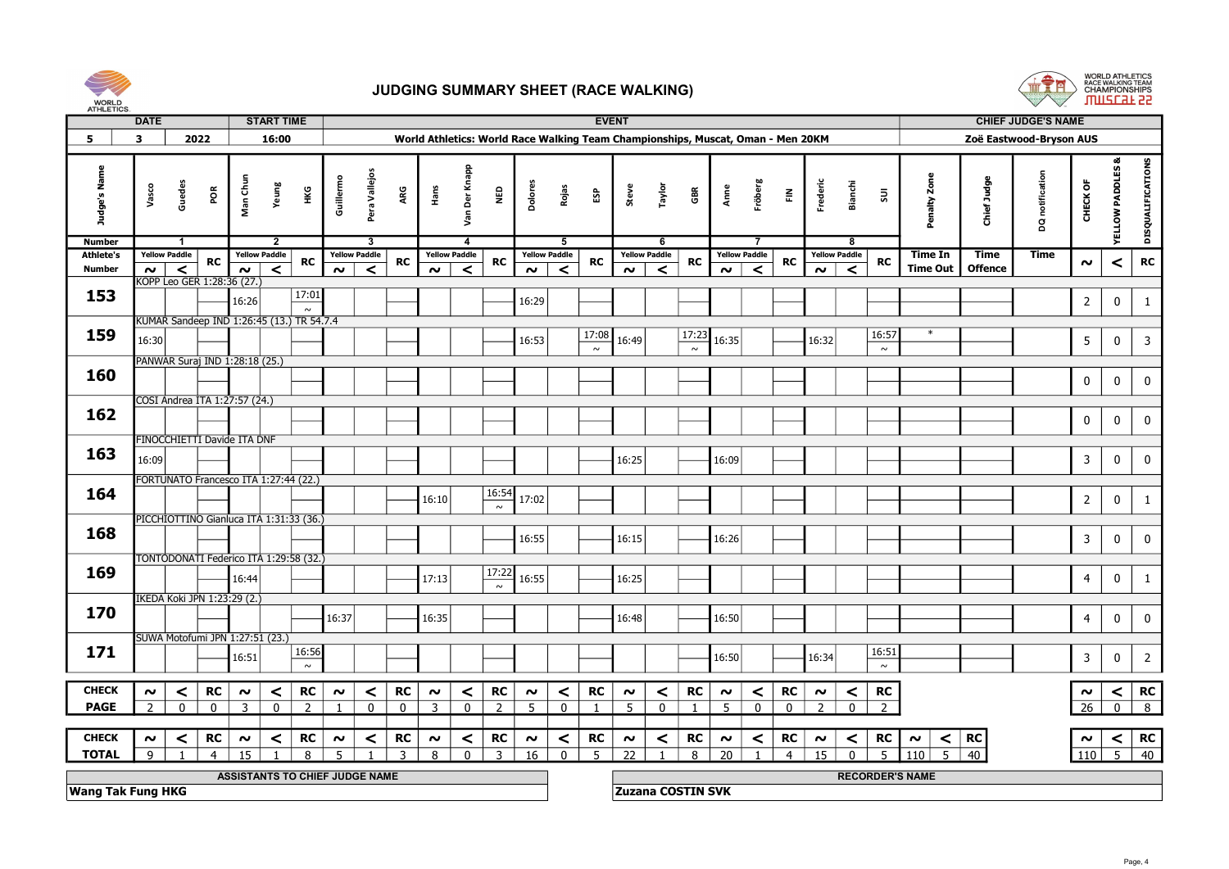



|                          | <b>DATE</b>                    |                             |                |                                    | <b>START TIME</b>                         |              |                      |                |                                                                                 |                      |                                    |         |                      |                | <b>EVENT</b>        |                          |                |                 |                      |               |                        |                      |                |                       |                | <b>CHIEF JUDGE'S NAME</b> |                     |                     |                         |  |
|--------------------------|--------------------------------|-----------------------------|----------------|------------------------------------|-------------------------------------------|--------------|----------------------|----------------|---------------------------------------------------------------------------------|----------------------|------------------------------------|---------|----------------------|----------------|---------------------|--------------------------|----------------|-----------------|----------------------|---------------|------------------------|----------------------|----------------|-----------------------|----------------|---------------------------|---------------------|---------------------|-------------------------|--|
| 5                        | 3                              | 2022                        |                |                                    | 16:00                                     |              |                      |                | World Athletics: World Race Walking Team Championships, Muscat, Oman - Men 20KM |                      |                                    |         |                      |                |                     |                          |                |                 |                      |               |                        |                      |                |                       |                | Zoë Eastwood-Bryson AUS   |                     |                     |                         |  |
| Judge's Name             | Vasco                          | Guedes                      | ΡÕ             | Man Chun                           | Yeung<br>¥Θ                               | Guillermo    | Pera Vallejos        | ARG            | Hans                                                                            | Der Knapp<br>ξã      | <b>Q3</b>                          | Dolores | Rojas                | និ             | Steve               | Taylor                   | GBR            | Anne            | Fröberg              | $\tilde{\Xi}$ | Frederic               | <b>Bianchi</b>       | $\Xi$          | <b>2ar</b><br>Penalty | Judg<br>Chief. | DQ notific                | ö<br><b>CHECK</b>   | ಹ<br>YELLOW PADDLES | DISQUALIFICATIONS       |  |
| <b>Number</b>            |                                | $\overline{\mathbf{1}}$     |                |                                    | $\overline{2}$                            |              | 3                    |                |                                                                                 | $\overline{a}$       |                                    |         | 5                    |                |                     | 6                        |                |                 | $\overline{7}$       |               |                        | -8                   |                |                       |                |                           |                     |                     |                         |  |
| <b>Athlete's</b>         |                                | <b>Yellow Paddle</b>        | <b>RC</b>      | <b>Yellow Paddle</b>               | RC                                        |              | <b>Yellow Paddle</b> | RC             |                                                                                 | <b>Yellow Paddle</b> | <b>RC</b>                          |         | <b>Yellow Paddle</b> | <b>RC</b>      |                     | <b>Yellow Paddle</b>     | RC             |                 | <b>Yellow Paddle</b> | RC            |                        | <b>Yellow Paddle</b> | <b>RC</b>      | Time In               | Time           | Time                      | $\boldsymbol{\sim}$ | $\prec$             | RC                      |  |
| <b>Number</b>            | $\sim$ $\mid$                  | $\prec$                     |                | $\sim$                             | $\prec$                                   | $\sim$       | $\prec$              |                | $\sim$                                                                          | $\prec$              |                                    | $\sim$  | $\prec$              |                | $\sim$              | $\prec$                  |                | $\sim$          | $\prec$              |               | $\sim$                 | $\prec$              |                | <b>Time Out</b>       | <b>Offence</b> |                           |                     |                     |                         |  |
| 153                      |                                | KÖPP Leo GER 1:28:36 (27.)  |                |                                    | 17:01                                     |              |                      |                |                                                                                 |                      |                                    |         |                      |                |                     |                          |                |                 |                      |               |                        |                      |                |                       |                |                           |                     |                     |                         |  |
|                          |                                |                             |                | 16:26                              | $\sim$                                    |              |                      |                |                                                                                 |                      |                                    | 16:29   |                      |                |                     |                          |                |                 |                      |               |                        |                      |                |                       |                |                           | $\overline{2}$      | $\bf{0}$            | $\mathbf{1}$            |  |
|                          |                                |                             |                |                                    | KUMAR Sandeep IND 1:26:45 (13.) TR 54.7.4 |              |                      |                |                                                                                 |                      |                                    |         |                      |                |                     |                          |                |                 |                      |               |                        |                      |                |                       |                |                           |                     |                     |                         |  |
| 159                      | 16:30                          |                             |                |                                    |                                           |              |                      |                |                                                                                 |                      |                                    | 16:53   |                      | 17:08          | 16:49               |                          | 17:23          | 16:35           |                      |               | 16:32                  |                      | 16:57          |                       |                |                           | 5                   | $\mathbf 0$         | $\overline{\mathbf{3}}$ |  |
|                          |                                |                             |                |                                    |                                           |              |                      |                |                                                                                 |                      |                                    |         |                      | $\sim$         |                     |                          | $\overline{z}$ |                 |                      |               |                        |                      | $\sim$         |                       |                |                           |                     |                     |                         |  |
| 160                      |                                |                             |                | PANWAR Suraj IND 1:28:18 (25.)     |                                           |              |                      |                |                                                                                 |                      |                                    |         |                      |                |                     |                          |                |                 |                      |               |                        |                      |                |                       |                |                           |                     |                     |                         |  |
|                          |                                |                             |                |                                    |                                           |              |                      |                |                                                                                 |                      |                                    |         |                      |                |                     |                          |                |                 |                      |               |                        |                      |                |                       |                |                           | $\mathbf 0$         | $\mathbf 0$         | $\mathbf 0$             |  |
|                          |                                |                             |                | COSI Andrea ITA 1:27:57 (24.)      |                                           |              |                      |                |                                                                                 |                      |                                    |         |                      |                |                     |                          |                |                 |                      |               |                        |                      |                |                       |                |                           |                     |                     |                         |  |
| 162                      |                                |                             |                |                                    |                                           |              |                      |                |                                                                                 |                      |                                    |         |                      |                |                     |                          |                |                 |                      |               |                        |                      |                |                       |                |                           | 0                   | $\bf{0}$            | $\bf{0}$                |  |
|                          |                                |                             |                |                                    |                                           |              |                      |                |                                                                                 |                      |                                    |         |                      |                |                     |                          |                |                 |                      |               |                        |                      |                |                       |                |                           |                     |                     |                         |  |
| 163                      |                                |                             |                | <b>FINOCCHIETTI Davide ITA DNF</b> |                                           |              |                      |                |                                                                                 |                      |                                    |         |                      |                |                     |                          |                |                 |                      |               |                        |                      |                |                       |                |                           |                     |                     |                         |  |
|                          | 16:09                          |                             |                |                                    |                                           |              |                      |                |                                                                                 |                      |                                    |         |                      |                | 16:25               |                          |                | 16:09           |                      |               |                        |                      |                |                       |                |                           | $\mathbf{3}$        | $\mathbf 0$         | $\mathbf 0$             |  |
|                          |                                |                             |                |                                    | FORTUNATO Francesco ITA 1:27:44 (22.)     |              |                      |                |                                                                                 |                      |                                    |         |                      |                |                     |                          |                |                 |                      |               |                        |                      |                |                       |                |                           |                     |                     |                         |  |
| 164                      |                                |                             |                |                                    |                                           |              |                      |                | 16:10                                                                           |                      | 16:54                              | 17:02   |                      |                |                     |                          |                |                 |                      |               |                        |                      |                |                       |                |                           | $\overline{2}$      | $\mathbf 0$         | $\mathbf{1}$            |  |
|                          |                                |                             |                |                                    |                                           |              |                      |                |                                                                                 |                      | $\sim$                             |         |                      |                |                     |                          |                |                 |                      |               |                        |                      |                |                       |                |                           |                     |                     |                         |  |
| 168                      |                                |                             |                |                                    | PICCHIOTTINO Gianluca ITA 1:31:33 (36.)   |              |                      |                |                                                                                 |                      |                                    |         |                      |                |                     |                          |                |                 |                      |               |                        |                      |                |                       |                |                           |                     |                     |                         |  |
|                          |                                |                             |                |                                    |                                           |              |                      |                |                                                                                 |                      |                                    | 16:55   |                      |                | 16:15               |                          |                | 16:26           |                      |               |                        |                      |                |                       |                |                           | $\mathbf{3}$        | $\bf{0}$            | $\mathbf 0$             |  |
|                          |                                |                             |                |                                    | TONTODONATI Federico ITA 1:29:58 (32.)    |              |                      |                |                                                                                 |                      |                                    |         |                      |                |                     |                          |                |                 |                      |               |                        |                      |                |                       |                |                           |                     |                     |                         |  |
| 169                      |                                |                             |                | 16:44                              |                                           |              |                      |                | 17:13                                                                           |                      | 17:22                              | 16:55   |                      |                | 16:25               |                          |                |                 |                      |               |                        |                      |                |                       |                |                           | $\overline{4}$      | $\mathbf 0$         | $\mathbf{1}$            |  |
|                          |                                |                             |                |                                    |                                           |              |                      |                |                                                                                 |                      | $\sim$                             |         |                      |                |                     |                          |                |                 |                      |               |                        |                      |                |                       |                |                           |                     |                     |                         |  |
| 170                      |                                | IKEDA Koki JPN 1:23:29 (2.) |                |                                    |                                           |              |                      |                |                                                                                 |                      |                                    |         |                      |                |                     |                          |                |                 |                      |               |                        |                      |                |                       |                |                           |                     |                     |                         |  |
|                          |                                |                             |                |                                    |                                           | 16:37        |                      |                | 16:35                                                                           |                      |                                    |         |                      |                | 16:48               |                          |                | 16:50           |                      |               |                        |                      |                |                       |                |                           | $\overline{4}$      | $\mathbf 0$         | $\mathbf 0$             |  |
|                          |                                |                             |                | SUWA Motofumi JPN 1:27:51 (23.)    |                                           |              |                      |                |                                                                                 |                      |                                    |         |                      |                |                     |                          |                |                 |                      |               |                        |                      |                |                       |                |                           |                     |                     |                         |  |
| 171                      |                                |                             |                | 16:51                              | 16:56                                     |              |                      |                |                                                                                 |                      |                                    |         |                      |                |                     |                          |                | 16:50           |                      |               | 16:34                  |                      | 16:51          |                       |                |                           | $\mathbf{3}$        | $\mathbf 0$         | $\overline{2}$          |  |
|                          |                                |                             |                |                                    | $\sim$                                    |              |                      |                |                                                                                 |                      |                                    |         |                      |                |                     |                          |                |                 |                      |               |                        |                      | $\sim$         |                       |                |                           |                     |                     |                         |  |
| <b>CHECK</b>             | $\sim$                         | $\prec$                     | <b>RC</b>      | $\boldsymbol{\sim}$                | <b>RC</b><br>$\prec$                      | $\sim$       | $\vert$ $\vert$      | <b>RC</b>      | $\sim$                                                                          | $\prec$              | <b>RC</b>                          | $\sim$  | $\prec$              | <b>RC</b>      | $\sim$              | $\prec$                  | RC             | $\sim$          | $\prec$              | <b>RC</b>     | $\sim$                 | $\prec$              | <b>RC</b>      |                       |                |                           | $\sim$              | $\vert$ $\vert$     | RC                      |  |
| <b>PAGE</b>              | $\overline{2}$                 | $\mathbf{0}$                | $\mathbf{0}$   | $\overline{3}$                     | $\mathbf{0}$<br>$\overline{2}$            | $\mathbf{1}$ | $\mathbf{0}$         | $\overline{0}$ | 3                                                                               | $\mathbf{0}$         | $\overline{2}$                     | - 5     | $\mathbf{0}$         | $\overline{1}$ | .5                  | $\mathbf{0}$             | $\overline{1}$ | $5^{\circ}$     | $\mathbf{0}$         | $\mathbf{0}$  | $\overline{z}$         | $\mathbf{0}$         | $\overline{2}$ |                       |                |                           | 26                  | $\overline{0}$      | 8                       |  |
|                          |                                |                             |                |                                    |                                           |              |                      |                |                                                                                 |                      |                                    |         |                      |                |                     |                          |                |                 |                      |               |                        |                      |                |                       |                |                           |                     |                     |                         |  |
| <b>CHECK</b>             | $\sim$                         | $\prec$                     | <b>RC</b>      | $\boldsymbol{\sim}$                | <b>RC</b><br>$\prec$                      | $\sim$       | $\prec$              | <b>RC</b>      | $\sim$                                                                          | $\prec$              | <b>RC</b>                          | $\sim$  | $\prec$              | <b>RC</b>      | $\boldsymbol{\sim}$ | $\prec$                  | RC             | $\sim$          | $\prec$              | <b>RC</b>     | $\sim$                 | $\prec$              | <b>RC</b>      | $\sim$                | $<$ RC         |                           | $\boldsymbol{\sim}$ | $\vert$ $\vert$     | <b>RC</b>               |  |
| <b>TOTAL</b>             | 9                              |                             | $\overline{4}$ | 15                                 | 8<br>$\mathbf{1}$                         | -5           |                      | $\overline{3}$ | 8                                                                               | $\mathbf{0}$         | $\overline{\overline{\mathbf{3}}}$ | 16      | $\mathbf 0$          | 5              | 22                  | $\mathbf{1}$             | 8 <sup>1</sup> | $\overline{20}$ | $\overline{1}$       | 4             | $\overline{15}$        | $\Omega$             | 5              | 110                   | $5 \mid 40$    |                           |                     |                     | $110$ 5 40              |  |
|                          |                                |                             |                |                                    |                                           |              |                      |                |                                                                                 |                      |                                    |         |                      |                |                     |                          |                |                 |                      |               |                        |                      |                |                       |                |                           |                     |                     |                         |  |
|                          | ASSISTANTS TO CHIEF JUDGE NAME |                             |                |                                    |                                           |              |                      |                |                                                                                 |                      |                                    |         |                      |                |                     |                          |                |                 |                      |               | <b>RECORDER'S NAME</b> |                      |                |                       |                |                           |                     |                     |                         |  |
| <b>Wang Tak Fung HKG</b> |                                |                             |                |                                    |                                           |              |                      |                |                                                                                 |                      |                                    |         |                      |                |                     | <b>Zuzana COSTIN SVK</b> |                |                 |                      |               |                        |                      |                |                       |                |                           |                     |                     |                         |  |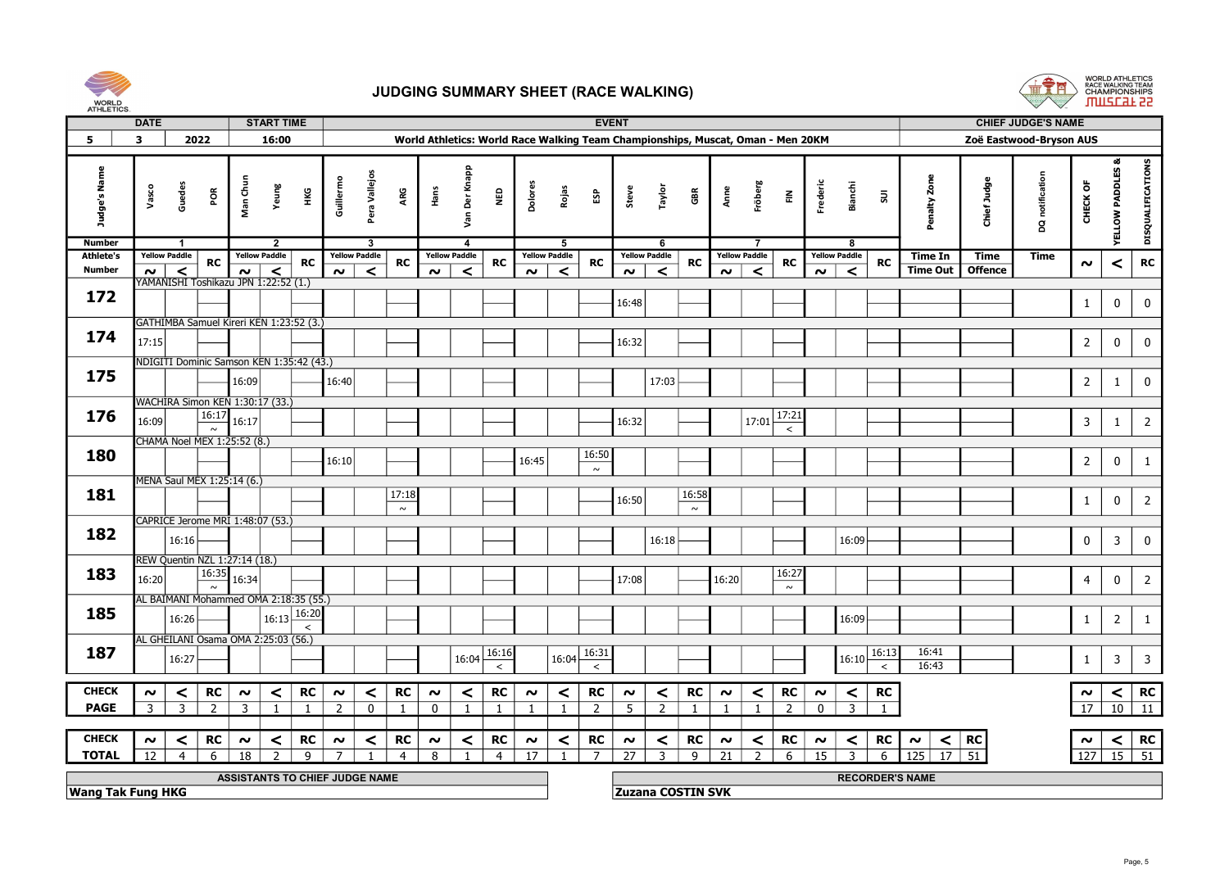



|                          | <b>DATE</b>    |                                                 |                                | <b>START TIME</b>    |                |                |                         |                |          |                      |                                     |                |                      |                 | <b>EVENT</b>                                                                    |                      |              |                |                      |                |                     |                         |                |                            |                 | <b>CHIEF JUDGE'S NAME</b> |                     |                 |                                 |
|--------------------------|----------------|-------------------------------------------------|--------------------------------|----------------------|----------------|----------------|-------------------------|----------------|----------|----------------------|-------------------------------------|----------------|----------------------|-----------------|---------------------------------------------------------------------------------|----------------------|--------------|----------------|----------------------|----------------|---------------------|-------------------------|----------------|----------------------------|-----------------|---------------------------|---------------------|-----------------|---------------------------------|
| 5                        | $\mathbf{3}$   | 2022                                            |                                | 16:00                |                |                |                         |                |          |                      |                                     |                |                      |                 | World Athletics: World Race Walking Team Championships, Muscat, Oman - Men 20KM |                      |              |                |                      |                |                     |                         |                |                            |                 | Zoë Eastwood-Bryson AUS   |                     |                 |                                 |
|                          |                |                                                 |                                |                      |                |                |                         |                |          |                      |                                     |                |                      |                 |                                                                                 |                      |              |                |                      |                |                     |                         |                |                            |                 |                           |                     |                 |                                 |
| Judge's Name             | Vasco          | Guedes<br>ă                                     | Man Chu                        | Yeung                | Ŧ              | Guillermo      | Pera Vallejos           | ARG            | Hans     | Der Knapp<br>Sm      | ga<br>N                             | Dolores        | Rojas                | និ              | Steve                                                                           | Taylor               | GBR          | Anne           | Fröberg              | $\tilde{\Xi}$  | Frederic            | <b>Bianchi</b>          | $\mathsf{su}$  | 2 <sub>on</sub><br>Penalty | gburt:<br>Chief | notification<br>g         | CHECK OF            | YELLOW PADDLES  | DISQUALIFICATIONS               |
| <b>Number</b>            |                | $\overline{1}$                                  |                                | $\overline{2}$       |                |                | $\overline{\mathbf{3}}$ |                |          | $\boldsymbol{4}$     |                                     |                | $\overline{5}$       |                 |                                                                                 | 6                    |              |                | $\overline{7}$       |                |                     | -8                      |                |                            |                 |                           |                     |                 |                                 |
| <b>Athlete's</b>         |                | <b>Yellow Paddle</b><br><b>RC</b>               |                                | <b>Yellow Paddle</b> | <b>RC</b>      |                | <b>Yellow Paddle</b>    | <b>RC</b>      |          | <b>Yellow Paddle</b> | <b>RC</b>                           |                | <b>Yellow Paddle</b> | <b>RC</b>       |                                                                                 | <b>Yellow Paddle</b> | <b>RC</b>    |                | <b>Yellow Paddle</b> | <b>RC</b>      |                     | <b>Yellow Paddle</b>    | <b>RC</b>      | Time In                    | Time            | Time                      | $\boldsymbol{\sim}$ | ≺               | <b>RC</b>                       |
| Number                   | $\sim$ $\mid$  | $\prec$<br>YAMANISHI Toshikazu JPN 1:22:52 (1.) | $\sim$ $\mid$                  | $\prec$              |                | $\sim$         | $\prec$                 |                | $\sim$   | $\prec$              |                                     | $\sim$         | $\prec$              |                 | $\sim$                                                                          | $\prec$              |              | $\sim$         | $\prec$              |                | $\sim$              | $\prec$                 |                | <b>Time Out</b>            | <b>Offence</b>  |                           |                     |                 |                                 |
| 172                      |                |                                                 |                                |                      |                |                |                         |                |          |                      |                                     |                |                      |                 |                                                                                 |                      |              |                |                      |                |                     |                         |                |                            |                 |                           |                     |                 |                                 |
|                          |                |                                                 |                                |                      |                |                |                         |                |          |                      |                                     |                |                      |                 | 16:48                                                                           |                      |              |                |                      |                |                     |                         |                |                            |                 |                           | $\mathbf{1}$        | $\bf{0}$        | $\mathbf 0$                     |
|                          |                | GATHIMBA Samuel Kireri KEN 1:23:52 (3.)         |                                |                      |                |                |                         |                |          |                      |                                     |                |                      |                 |                                                                                 |                      |              |                |                      |                |                     |                         |                |                            |                 |                           |                     |                 |                                 |
| 174                      | 17:15          |                                                 |                                |                      |                |                |                         |                |          |                      |                                     |                |                      |                 | 16:32                                                                           |                      |              |                |                      |                |                     |                         |                |                            |                 |                           | $\overline{2}$      | 0               | $\mathbf 0$                     |
|                          |                |                                                 |                                |                      |                |                |                         |                |          |                      |                                     |                |                      |                 |                                                                                 |                      |              |                |                      |                |                     |                         |                |                            |                 |                           |                     |                 |                                 |
| 175                      |                | NDIGITI Dominic Samson KEN 1:35:42 (43.)        |                                |                      |                |                |                         |                |          |                      |                                     |                |                      |                 |                                                                                 |                      |              |                |                      |                |                     |                         |                |                            |                 |                           |                     |                 |                                 |
|                          |                |                                                 | 16:09                          |                      |                | 16:40          |                         |                |          |                      |                                     |                |                      |                 |                                                                                 | 17:03                |              |                |                      |                |                     |                         |                |                            |                 |                           | $\overline{2}$      | $\mathbf{1}$    | $\mathbf 0$                     |
|                          |                | WACHIRA Simon KEN 1:30:17 (33.)                 |                                |                      |                |                |                         |                |          |                      |                                     |                |                      |                 |                                                                                 |                      |              |                |                      |                |                     |                         |                |                            |                 |                           |                     |                 |                                 |
| 176                      | 16:09          | 16:17                                           | 16:17                          |                      |                |                |                         |                |          |                      |                                     |                |                      |                 | 16:32                                                                           |                      |              |                | 17:01                | 17:21          |                     |                         |                |                            |                 |                           | $\mathbf{3}$        | $\mathbf{1}$    | $\overline{2}$                  |
|                          |                | $\sim$                                          |                                |                      |                |                |                         |                |          |                      |                                     |                |                      |                 |                                                                                 |                      |              |                |                      | $\prec$        |                     |                         |                |                            |                 |                           |                     |                 |                                 |
|                          |                | CHAMA Noel MEX 1:25:52 (8.)                     |                                |                      |                |                |                         |                |          |                      |                                     |                |                      |                 |                                                                                 |                      |              |                |                      |                |                     |                         |                |                            |                 |                           |                     |                 |                                 |
| 180                      |                |                                                 |                                |                      |                | 16:10          |                         |                |          |                      |                                     | 16:45          |                      | 16:50<br>$\sim$ |                                                                                 |                      |              |                |                      |                |                     |                         |                |                            |                 |                           | $\overline{2}$      | $\mathbf 0$     | $\mathbf{1}$                    |
|                          |                | MENA Saul MEX 1:25:14 (6.)                      |                                |                      |                |                |                         |                |          |                      |                                     |                |                      |                 |                                                                                 |                      |              |                |                      |                |                     |                         |                |                            |                 |                           |                     |                 |                                 |
| 181                      |                |                                                 |                                |                      |                |                |                         | 17:18          |          |                      |                                     |                |                      |                 |                                                                                 |                      | 16:58        |                |                      |                |                     |                         |                |                            |                 |                           |                     |                 |                                 |
|                          |                |                                                 |                                |                      |                |                |                         | $\sim$         |          |                      |                                     |                |                      |                 | 16:50                                                                           |                      | $\sim$       |                |                      |                |                     |                         |                |                            |                 |                           | $\mathbf{1}$        | $\pmb{0}$       | $\overline{2}$                  |
|                          |                | CAPRICE Jerome MRI 1:48:07 (53.)                |                                |                      |                |                |                         |                |          |                      |                                     |                |                      |                 |                                                                                 |                      |              |                |                      |                |                     |                         |                |                            |                 |                           |                     |                 |                                 |
| 182                      |                | 16:16                                           |                                |                      |                |                |                         |                |          |                      |                                     |                |                      |                 |                                                                                 | 16:18                |              |                |                      |                |                     | 16:09                   |                |                            |                 |                           | $\mathbf 0$         | $\overline{3}$  | 0                               |
|                          |                | REW Quentin NZL 1:27:14 (18.)                   |                                |                      |                |                |                         |                |          |                      |                                     |                |                      |                 |                                                                                 |                      |              |                |                      |                |                     |                         |                |                            |                 |                           |                     |                 |                                 |
| 183                      |                | 16:35                                           |                                |                      |                |                |                         |                |          |                      |                                     |                |                      |                 |                                                                                 |                      |              |                |                      | 16:27          |                     |                         |                |                            |                 |                           |                     |                 |                                 |
|                          | 16:20          | $\sim$                                          | 16:34                          |                      |                |                |                         |                |          |                      |                                     |                |                      |                 | 17:08                                                                           |                      |              | 16:20          |                      | $\sim$         |                     |                         |                |                            |                 |                           | $\overline{4}$      | 0               | $\overline{2}$                  |
|                          |                | AL BAIMANI Mohammed OMA 2:18:35 (55.)           |                                |                      |                |                |                         |                |          |                      |                                     |                |                      |                 |                                                                                 |                      |              |                |                      |                |                     |                         |                |                            |                 |                           |                     |                 |                                 |
| 185                      |                | 16:26                                           |                                | 16:13                | 16:20          |                |                         |                |          |                      |                                     |                |                      |                 |                                                                                 |                      |              |                |                      |                |                     | 16:09                   |                |                            |                 |                           | $\mathbf{1}$        | $\overline{2}$  | $\mathbf{1}$                    |
|                          |                |                                                 |                                |                      | $\hat{~}$      |                |                         |                |          |                      |                                     |                |                      |                 |                                                                                 |                      |              |                |                      |                |                     |                         |                |                            |                 |                           |                     |                 |                                 |
| 187                      |                | AL GHEILANI Osama OMA 2:25:03 (56.)             |                                |                      |                |                |                         |                |          |                      |                                     |                |                      | 16:31           |                                                                                 |                      |              |                |                      |                |                     |                         | 16:13          | 16:41                      |                 |                           |                     |                 |                                 |
|                          |                | 16:27                                           |                                |                      |                |                |                         |                |          |                      | $16:04 \overline{16:16}$<br>$\prec$ |                | 16:04                | $\prec$         |                                                                                 |                      |              |                |                      |                |                     | 16:10                   | $\prec$        | 16:43                      |                 |                           | 1                   | $\overline{3}$  | $\overline{\mathbf{3}}$         |
|                          |                |                                                 |                                |                      |                |                |                         |                |          |                      |                                     |                |                      |                 |                                                                                 |                      |              |                |                      |                |                     |                         |                |                            |                 |                           |                     |                 |                                 |
| <b>CHECK</b>             | $\sim$         | <b>RC</b><br>$\prec$                            | $\sim$                         | $\prec$              | <b>RC</b>      | $\sim$         | $\prec$                 | <b>RC</b>      | $\sim$   | $\prec$              | <b>RC</b>                           | $\sim$         | $\prec$              | RC              | $\boldsymbol{\sim}$                                                             | $\prec$              | <b>RC</b>    | $\sim$         | $\prec$              | <b>RC</b>      | $\boldsymbol{\sim}$ | $\prec$                 | RC             |                            |                 |                           | $\boldsymbol{\sim}$ | $\vert$ $\vert$ | <b>RC</b>                       |
| <b>PAGE</b>              | $\overline{3}$ | $\overline{3}$<br>$\overline{2}$                | $\overline{3}$                 | $\mathbf{1}$         | $\overline{1}$ | $\overline{2}$ | $\Omega$                | $\overline{1}$ | $\Omega$ | $\mathbf{1}$         | $\overline{1}$                      | $\overline{1}$ | $\blacksquare$       | $\overline{z}$  | $5^{\circ}$                                                                     | $\overline{2}$       | $\mathbf{1}$ | $\overline{1}$ | $\mathbf{1}$         | $\overline{z}$ | $\Omega$            | $\overline{\mathbf{3}}$ | $\overline{1}$ |                            |                 |                           | $\overline{17}$     |                 | $\overline{10}$ $\overline{11}$ |
|                          |                |                                                 |                                |                      |                |                |                         |                |          |                      |                                     |                |                      |                 |                                                                                 |                      |              |                |                      |                |                     |                         |                |                            |                 |                           |                     |                 |                                 |
| <b>CHECK</b>             | $\sim$         | <b>RC</b><br>$\prec$                            | $\sim$                         | $\prec$              | <b>RC</b>      | $\sim$         | $\prec$                 | <b>RC</b>      | $\sim$   | $\prec$              | <b>RC</b>                           | $\sim$         | $\prec$              | <b>RC</b>       | $\sim$                                                                          | $\prec$              | <b>RC</b>    | $\sim$         | $\prec$              | <b>RC</b>      | $\sim$              | $\prec$                 | <b>RC</b>      | $\sim$                     | $\vert$ RC      |                           | $\sim$              |                 | $<$ RC                          |
| <b>TOTAL</b>             | 12             | $\overline{4}$<br>6                             | 18                             |                      | q              |                |                         | $\overline{4}$ | 8        |                      | $\overline{4}$                      | 17             |                      | $\overline{7}$  | 27                                                                              | 3                    | 9            | 21             | $\overline{2}$       | 6              | 15                  | $\overline{3}$          | 6              | $\overline{125}$           | $\boxed{17}$ 51 |                           |                     |                 | $127$ 15 51                     |
|                          |                |                                                 |                                |                      |                |                |                         |                |          |                      |                                     |                |                      |                 |                                                                                 |                      |              |                |                      |                |                     |                         |                |                            |                 |                           |                     |                 |                                 |
|                          |                |                                                 | ASSISTANTS TO CHIEF JUDGE NAME |                      |                |                |                         |                |          |                      |                                     |                |                      |                 |                                                                                 |                      |              |                |                      |                |                     |                         |                | <b>RECORDER'S NAME</b>     |                 |                           |                     |                 |                                 |
| <b>Wang Tak Fung HKG</b> |                |                                                 |                                |                      |                |                |                         |                |          |                      |                                     |                |                      |                 | <b>Zuzana COSTIN SVK</b>                                                        |                      |              |                |                      |                |                     |                         |                |                            |                 |                           |                     |                 |                                 |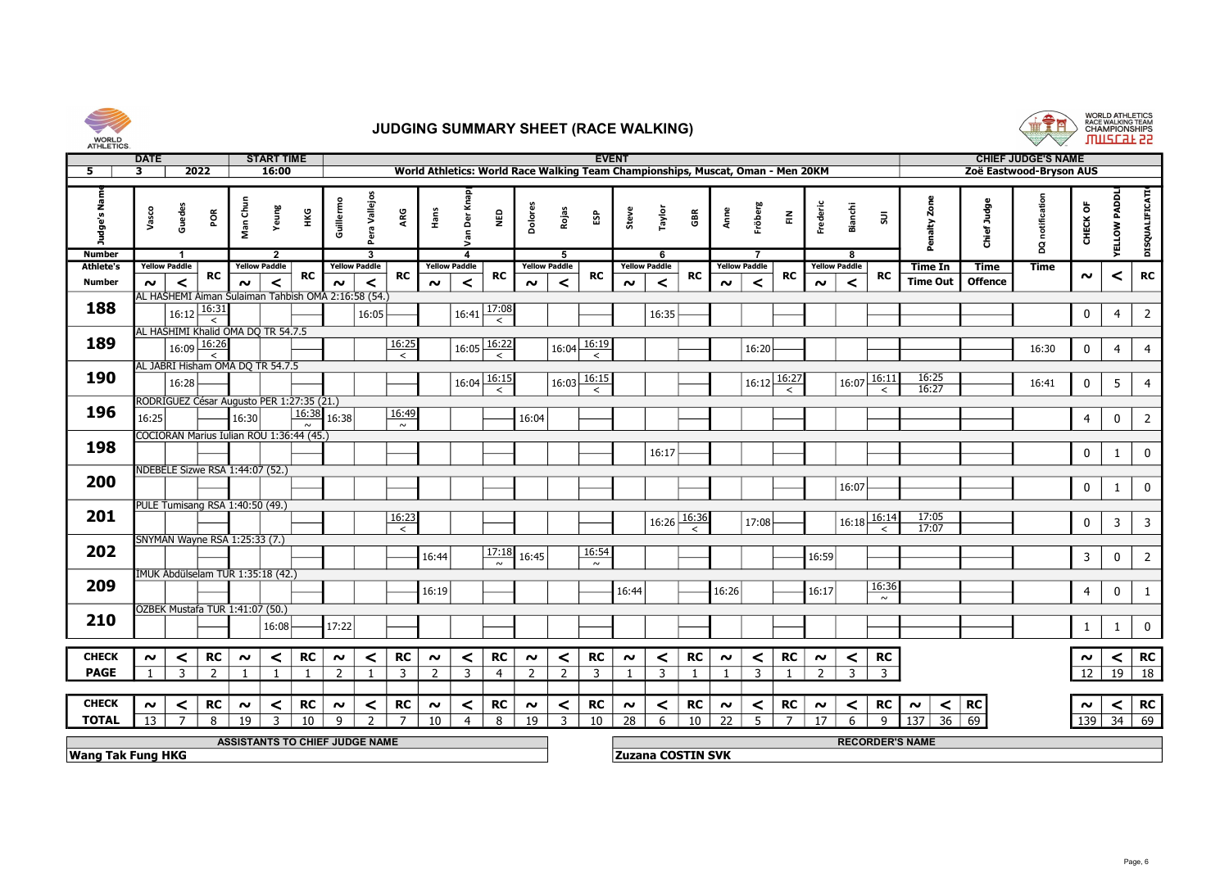



| AIHLETICS.        |             |                      |                                       |                                   |                                                     |                          |                      |                 |        |                         |                        |                                                                                 |                |                          |              |                          |                      |              |                      |                |                |                      |                  |                        |                |                           |                |                              |                         |
|-------------------|-------------|----------------------|---------------------------------------|-----------------------------------|-----------------------------------------------------|--------------------------|----------------------|-----------------|--------|-------------------------|------------------------|---------------------------------------------------------------------------------|----------------|--------------------------|--------------|--------------------------|----------------------|--------------|----------------------|----------------|----------------|----------------------|------------------|------------------------|----------------|---------------------------|----------------|------------------------------|-------------------------|
|                   | <b>DATE</b> |                      |                                       |                                   | <b>START TIME</b>                                   |                          |                      |                 |        |                         |                        |                                                                                 |                | <b>EVENT</b>             |              |                          |                      |              |                      |                |                |                      |                  |                        |                | <b>CHIEF JUDGE'S NAME</b> |                |                              |                         |
| 5.                | 3           |                      | 2022                                  |                                   | 16:00                                               |                          |                      |                 |        |                         |                        | World Athletics: World Race Walking Team Championships, Muscat, Oman - Men 20KM |                |                          |              |                          |                      |              |                      |                |                |                      |                  |                        |                | Zoë Eastwood-Bryson AUS   |                |                              |                         |
| udge's Na<br>ō    | Vasco       | Guedes               | POR                                   | Man Chun                          | Yeung<br>НKG                                        | Guillermo                | ra Vallejos          | ARG             | Hans   | ð                       | ξ                      | bolor                                                                           | Rojas          | ន្ទា                     | Steve        | Taylo                    | GBR                  | Anne         | Fröberg              | $\tilde{\Xi}$  | Frederic       | Bianchi              | $\Xi$            | ដំ                     | Chief Judge    | notific<br>g              | CHECK OF       | <b>RADD</b><br><b>AELTOM</b> | DISQUALIFICATI          |
| <b>Number</b>     |             | -1                   |                                       |                                   | 2                                                   |                          | -3                   |                 |        | 4                       |                        |                                                                                 | 5              |                          |              | - 6                      |                      |              |                      |                |                |                      |                  |                        |                |                           |                |                              |                         |
| <b>Athlete's</b>  |             | <b>Yellow Paddle</b> | RC                                    | <b>Yellow Paddle</b>              | RC                                                  |                          | <b>Yellow Paddle</b> | RC              |        | <b>Yellow Paddle</b>    | RC                     | <b>Yellow Paddle</b>                                                            |                | RC                       |              | <b>Yellow Paddle</b>     | <b>RC</b>            |              | <b>Yellow Paddle</b> | RC             |                | <b>Yellow Paddle</b> | <b>RC</b>        | Time In                | Time           | <b>Time</b>               | $\sim$         | $\prec$                      | RC                      |
| <b>Number</b>     | $\sim$      | $\prec$              |                                       | $\sim$                            | $\prec$                                             | $\sim$                   | $\prec$              |                 | $\sim$ | $\prec$                 |                        | $\sim$                                                                          | $\prec$        |                          | $\sim$       | $\prec$                  |                      | $\sim$       | $\prec$              |                | $\sim$         | $\prec$              |                  | <b>Time Out</b>        | <b>Offence</b> |                           |                |                              |                         |
| 188               |             |                      |                                       |                                   | AL HASHEMI Aiman Sulaiman Tahbish OMA 2:16:58 (54.) |                          |                      |                 |        |                         |                        |                                                                                 |                |                          |              |                          |                      |              |                      |                |                |                      |                  |                        |                |                           |                |                              |                         |
|                   |             |                      | $16:12$ $\overline{16:31}$<br>$\prec$ |                                   |                                                     |                          | 16:05                |                 |        | 16:41                   | $\frac{17:08}{\leq}$   |                                                                                 |                |                          |              | 16:35                    |                      |              |                      |                |                |                      |                  |                        |                |                           | $\mathbf 0$    | $\overline{4}$               | $\overline{2}$          |
|                   |             |                      |                                       |                                   | AL HASHIMI Khalid OMA DO TR 54.7.5                  |                          |                      |                 |        |                         |                        |                                                                                 |                |                          |              |                          |                      |              |                      |                |                |                      |                  |                        |                |                           |                |                              |                         |
| 189               |             |                      | $16:09 \frac{16:26}{2}$               |                                   |                                                     |                          |                      | 16:25           |        |                         | $16:05\frac{16:22}{2}$ |                                                                                 | 16:04          | 16:19                    |              |                          |                      |              | 16:20                |                |                |                      |                  |                        |                | 16:30                     | 0              | $\overline{4}$               | $\overline{4}$          |
|                   |             |                      |                                       |                                   |                                                     |                          |                      | $\overline{z}$  |        |                         |                        |                                                                                 |                | $\overline{\phantom{a}}$ |              |                          |                      |              |                      |                |                |                      |                  |                        |                |                           |                |                              |                         |
|                   |             |                      |                                       | AL JABRI Hisham OMA DQ TR 54.7.5  |                                                     |                          |                      |                 |        |                         |                        |                                                                                 |                |                          |              |                          |                      |              |                      |                |                |                      |                  |                        |                |                           |                |                              |                         |
| 190               |             | 16:28                |                                       |                                   |                                                     |                          |                      |                 |        | $16:04\overline{16:15}$ | $\prec$                |                                                                                 | 16:03          | 16:15<br>$\prec$         |              |                          |                      |              | 16:12                | 16:27          |                | 16:07                | 16:11<br>$\prec$ | $\frac{16:25}{16:27}$  |                | 16:41                     | 0              | $5\phantom{.0}$              | $\overline{4}$          |
|                   |             |                      |                                       |                                   | RODRÍGUEZ César Augusto PER 1:27:35 (21.)           |                          |                      |                 |        |                         |                        |                                                                                 |                |                          |              |                          |                      |              |                      |                |                |                      |                  |                        |                |                           |                |                              |                         |
| 196               | 16:25       |                      |                                       | 16:30                             | $\sim$                                              | $\overline{16:38}$ 16:38 |                      | 16:49<br>$\sim$ |        |                         |                        | 16:04                                                                           |                |                          |              |                          |                      |              |                      |                |                |                      |                  |                        |                |                           | $\overline{4}$ | $\mathbf 0$                  | $\overline{2}$          |
|                   |             |                      |                                       |                                   | COCIORAN Marius Iulian ROU 1:36:44 (45.)            |                          |                      |                 |        |                         |                        |                                                                                 |                |                          |              |                          |                      |              |                      |                |                |                      |                  |                        |                |                           |                |                              |                         |
| 198               |             |                      |                                       |                                   |                                                     |                          |                      |                 |        |                         |                        |                                                                                 |                |                          |              | 16:17                    |                      |              |                      |                |                |                      |                  |                        |                |                           | 0              | $\mathbf{1}$                 | $\overline{0}$          |
|                   |             |                      |                                       | NDEBELE Sizwe RSA 1:44:07 (52.)   |                                                     |                          |                      |                 |        |                         |                        |                                                                                 |                |                          |              |                          |                      |              |                      |                |                |                      |                  |                        |                |                           |                |                              |                         |
| 200               |             |                      |                                       |                                   |                                                     |                          |                      |                 |        |                         |                        |                                                                                 |                |                          |              |                          |                      |              |                      |                |                | 16:07                |                  |                        |                |                           | 0              | $\mathbf{1}$                 | $\mathbf{0}$            |
|                   |             |                      |                                       |                                   |                                                     |                          |                      |                 |        |                         |                        |                                                                                 |                |                          |              |                          |                      |              |                      |                |                |                      |                  |                        |                |                           |                |                              |                         |
| 201               |             |                      |                                       | PULE Tumisang RSA 1:40:50 (49.)   |                                                     |                          |                      | 16:23           |        |                         |                        |                                                                                 |                |                          |              |                          |                      |              |                      |                |                |                      |                  | 17:05                  |                |                           |                |                              |                         |
|                   |             |                      |                                       |                                   |                                                     |                          |                      | $\prec$         |        |                         |                        |                                                                                 |                |                          |              | 16:26                    | $\frac{16:36}{\leq}$ |              | 17:08                |                |                | 16:18                | 16:14<br>$\prec$ | 17:07                  |                |                           | $\pmb{0}$      | $\overline{\mathbf{3}}$      | $\overline{\mathbf{3}}$ |
|                   |             |                      |                                       | SNYMAN Wayne RSA 1:25:33 (7.)     |                                                     |                          |                      |                 |        |                         |                        |                                                                                 |                |                          |              |                          |                      |              |                      |                |                |                      |                  |                        |                |                           |                |                              |                         |
| 202               |             |                      |                                       |                                   |                                                     |                          |                      |                 | 16:44  |                         |                        | $\sqrt{17:18}$ 16:45                                                            |                | 16:54                    |              |                          |                      |              |                      |                | 16:59          |                      |                  |                        |                |                           | $\overline{3}$ | $\mathbf 0$                  | $\overline{2}$          |
|                   |             |                      |                                       |                                   |                                                     |                          |                      |                 |        |                         | $\sim$                 |                                                                                 |                | $\sim$                   |              |                          |                      |              |                      |                |                |                      |                  |                        |                |                           |                |                              |                         |
| 209               |             |                      |                                       | IMUK Abdülselam TUR 1:35:18 (42.) |                                                     |                          |                      |                 |        |                         |                        |                                                                                 |                |                          |              |                          |                      |              |                      |                |                |                      |                  |                        |                |                           |                |                              |                         |
|                   |             |                      |                                       |                                   |                                                     |                          |                      |                 | 16:19  |                         |                        |                                                                                 |                |                          | 16:44        |                          |                      | 16:26        |                      |                | 16:17          |                      | 16:36<br>$\sim$  |                        |                |                           | $\overline{4}$ | $\mathbf 0$                  | $\mathbf{1}$            |
|                   |             |                      |                                       | ÖZBEK Mustafa TUR 1:41:07 (50.)   |                                                     |                          |                      |                 |        |                         |                        |                                                                                 |                |                          |              |                          |                      |              |                      |                |                |                      |                  |                        |                |                           |                |                              |                         |
| 210               |             |                      |                                       |                                   | 16:08                                               | 17:22                    |                      |                 |        |                         |                        |                                                                                 |                |                          |              |                          |                      |              |                      |                |                |                      |                  |                        |                |                           |                | $\mathbf{1}$                 | $\mathbf 0$             |
|                   |             |                      |                                       |                                   |                                                     |                          |                      |                 |        |                         |                        |                                                                                 |                |                          |              |                          |                      |              |                      |                |                |                      |                  |                        |                |                           |                |                              |                         |
| <b>CHECK</b>      | $\sim$      | $\prec$              | <b>RC</b>                             | $\sim$                            | <b>RC</b><br>$\prec$                                | $\sim$                   | ≺                    | <b>RC</b>       | $\sim$ | $\prec$                 | <b>RC</b>              | $\sim$                                                                          | $\prec$        | <b>RC</b>                | $\sim$       | $\prec$                  | RC                   | $\sim$       | $\prec$              | <b>RC</b>      | $\sim$         | $\prec$              | <b>RC</b>        |                        |                |                           | $\sim$         | $\prec$                      | <b>RC</b>               |
| <b>PAGE</b>       |             | $\overline{3}$       | 2                                     |                                   | $\overline{1}$                                      | $\overline{\phantom{0}}$ |                      | 3               | 2      | $\overline{3}$          | $\overline{4}$         | $\overline{z}$                                                                  | 2              | $\overline{3}$           | $\mathbf{1}$ | 3                        |                      | $\mathbf{1}$ | $\overline{3}$       |                | $\overline{z}$ | $\overline{3}$       | $\overline{3}$   |                        |                |                           | 12             |                              | $19$ 18                 |
|                   |             |                      |                                       |                                   |                                                     |                          |                      |                 |        |                         |                        |                                                                                 |                |                          |              |                          |                      |              |                      |                |                |                      |                  |                        |                |                           |                |                              |                         |
| <b>CHECK</b>      | $\sim$      | $\prec$              | <b>RC</b>                             | $\sim$                            | <b>RC</b><br>$\prec$                                | $\boldsymbol{\sim}$      | $\prec$              | <b>RC</b>       | $\sim$ | $\prec$                 | <b>RC</b>              | $\sim$                                                                          | $\prec$        | <b>RC</b>                | $\sim$       | $\prec$                  | RC                   | $\sim$       | $\prec$              | RC             | $\sim$         | $\prec$              | RC               | ∣∼                     | $<$ RC         |                           | $\sim$         |                              | $<$ RC                  |
| <b>TOTAL</b>      | 13          | $\overline{7}$       | 8                                     | 19                                | $\overline{\mathbf{z}}$<br>10                       | $\mathsf{Q}$             | ຳ                    | $\overline{ }$  | 10     | $\boldsymbol{\Delta}$   | 8                      | 19                                                                              | $\overline{3}$ | 10                       | 28           | -6                       | 10                   | 22           | 5                    | $\overline{ }$ | 17             | $\mathsf{f}$         | 9                | $\overline{137}$<br>36 | 69             |                           |                | $139$ 34 69                  |                         |
|                   |             |                      |                                       |                                   | <b>ASSISTANTS TO CHIEF JUDGE NAME</b>               |                          |                      |                 |        |                         |                        |                                                                                 |                |                          |              |                          |                      |              |                      |                |                |                      |                  | <b>RECORDER'S NAME</b> |                |                           |                |                              |                         |
| Wang Tak Fung HKG |             |                      |                                       |                                   |                                                     |                          |                      |                 |        |                         |                        |                                                                                 |                |                          |              | <b>Zuzana COSTIN SVK</b> |                      |              |                      |                |                |                      |                  |                        |                |                           |                |                              |                         |